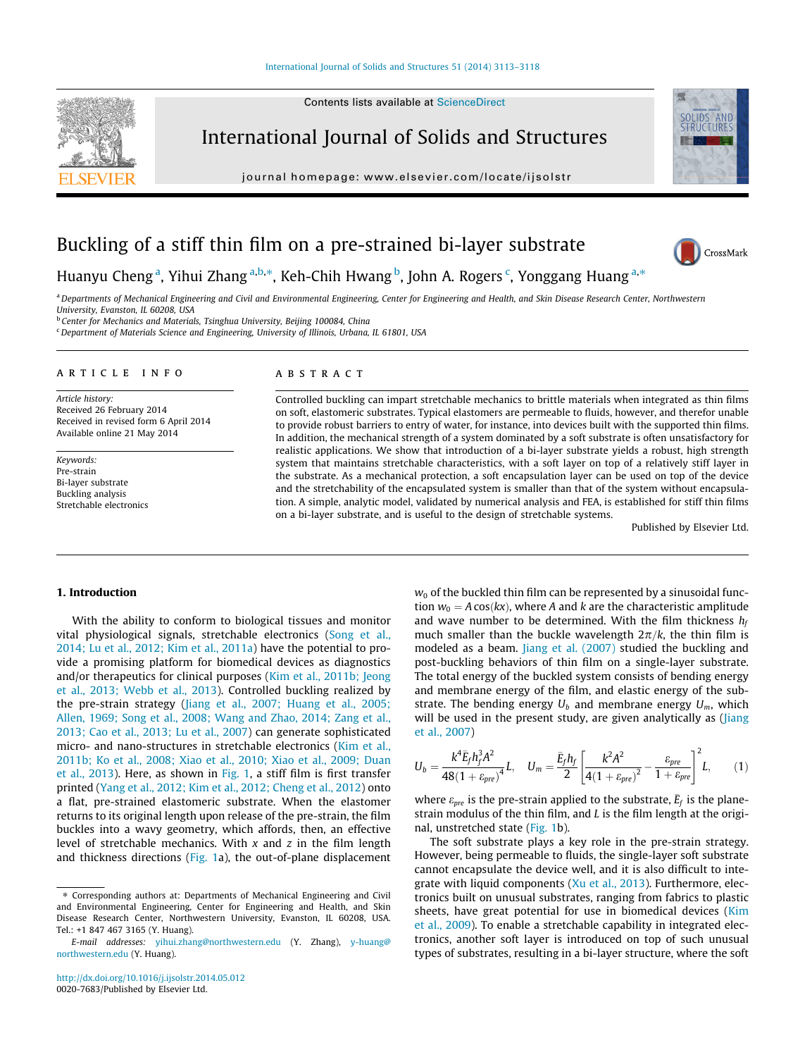Contents lists available at [ScienceDirect](http://www.sciencedirect.com/science/journal/00207683)

<span id="page-0-0"></span>

International Journal of Solids and Structures

journal homepage: [www.elsevier.com/locate/ijsolstr](http://www.elsevier.com/locate/ijsolstr)



CrossMark

# Buckling of a stiff thin film on a pre-strained bi-layer substrate

Huanyu Cheng<sup>a</sup>, Yihui Zhang<sup>a,b,\*</sup>, Keh-Chih Hwang<sup>b</sup>, John A. Rogers<sup>c</sup>, Yonggang Huang<sup>a,\*</sup>

a Departments of Mechanical Engineering and Civil and Environmental Engineering, Center for Engineering and Health, and Skin Disease Research Center, Northwestern University, Evanston, IL 60208, USA

b Center for Mechanics and Materials, Tsinghua University, Beijing 100084, China

<sup>c</sup> Department of Materials Science and Engineering, University of Illinois, Urbana, IL 61801, USA

#### article info

Article history: Received 26 February 2014 Received in revised form 6 April 2014 Available online 21 May 2014

Keywords: Pre-strain Bi-layer substrate Buckling analysis Stretchable electronics

### ABSTRACT

Controlled buckling can impart stretchable mechanics to brittle materials when integrated as thin films on soft, elastomeric substrates. Typical elastomers are permeable to fluids, however, and therefor unable to provide robust barriers to entry of water, for instance, into devices built with the supported thin films. In addition, the mechanical strength of a system dominated by a soft substrate is often unsatisfactory for realistic applications. We show that introduction of a bi-layer substrate yields a robust, high strength system that maintains stretchable characteristics, with a soft layer on top of a relatively stiff layer in the substrate. As a mechanical protection, a soft encapsulation layer can be used on top of the device and the stretchability of the encapsulated system is smaller than that of the system without encapsulation. A simple, analytic model, validated by numerical analysis and FEA, is established for stiff thin films on a bi-layer substrate, and is useful to the design of stretchable systems.

Published by Elsevier Ltd.

# 1. Introduction

With the ability to conform to biological tissues and monitor vital physiological signals, stretchable electronics [\(Song et al.,](#page-5-0) [2014; Lu et al., 2012; Kim et al., 2011a](#page-5-0)) have the potential to provide a promising platform for biomedical devices as diagnostics and/or therapeutics for clinical purposes [\(Kim et al., 2011b; Jeong](#page-5-0) [et al., 2013; Webb et al., 2013](#page-5-0)). Controlled buckling realized by the pre-strain strategy [\(Jiang et al., 2007; Huang et al., 2005;](#page-5-0) [Allen, 1969; Song et al., 2008; Wang and Zhao, 2014; Zang et al.,](#page-5-0) [2013; Cao et al., 2013; Lu et al., 2007](#page-5-0)) can generate sophisticated micro- and nano-structures in stretchable electronics [\(Kim et al.,](#page-5-0) [2011b; Ko et al., 2008; Xiao et al., 2010; Xiao et al., 2009; Duan](#page-5-0) [et al., 2013\)](#page-5-0). Here, as shown in [Fig. 1,](#page-1-0) a stiff film is first transfer printed [\(Yang et al., 2012; Kim et al., 2012; Cheng et al., 2012](#page-5-0)) onto a flat, pre-strained elastomeric substrate. When the elastomer returns to its original length upon release of the pre-strain, the film buckles into a wavy geometry, which affords, then, an effective level of stretchable mechanics. With  $x$  and  $z$  in the film length and thickness directions ([Fig. 1](#page-1-0)a), the out-of-plane displacement  $w_0$  of the buckled thin film can be represented by a sinusoidal function  $w_0 = A \cos(kx)$ , where A and k are the characteristic amplitude and wave number to be determined. With the film thickness  $h_f$ much smaller than the buckle wavelength  $2\pi/k$ , the thin film is modeled as a beam. [Jiang et al. \(2007\)](#page-5-0) studied the buckling and post-buckling behaviors of thin film on a single-layer substrate. The total energy of the buckled system consists of bending energy and membrane energy of the film, and elastic energy of the substrate. The bending energy  $U_b$  and membrane energy  $U_m$ , which will be used in the present study, are given analytically as ([Jiang](#page-5-0) [et al., 2007\)](#page-5-0)

$$
U_b = \frac{k^4 \bar{E}_f h_f^3 A^2}{48(1 + \varepsilon_{pre})^4} L, \quad U_m = \frac{\bar{E}_f h_f}{2} \left[ \frac{k^2 A^2}{4(1 + \varepsilon_{pre})^2} - \frac{\varepsilon_{pre}}{1 + \varepsilon_{pre}} \right]^2 L, \tag{1}
$$

where  $\varepsilon_{pre}$  is the pre-strain applied to the substrate,  $\bar{E}_f$  is the planestrain modulus of the thin film, and  $L$  is the film length at the original, unstretched state [\(Fig. 1b](#page-1-0)).

The soft substrate plays a key role in the pre-strain strategy. However, being permeable to fluids, the single-layer soft substrate cannot encapsulate the device well, and it is also difficult to integrate with liquid components ([Xu et al., 2013\)](#page-5-0). Furthermore, electronics built on unusual substrates, ranging from fabrics to plastic sheets, have great potential for use in biomedical devices [\(Kim](#page-5-0) [et al., 2009\)](#page-5-0). To enable a stretchable capability in integrated electronics, another soft layer is introduced on top of such unusual types of substrates, resulting in a bi-layer structure, where the soft

<sup>⇑</sup> Corresponding authors at: Departments of Mechanical Engineering and Civil and Environmental Engineering, Center for Engineering and Health, and Skin Disease Research Center, Northwestern University, Evanston, IL 60208, USA. Tel.: +1 847 467 3165 (Y. Huang).

E-mail addresses: [yihui.zhang@northwestern.edu](mailto:yihui.zhang@northwestern.edu) (Y. Zhang), [y-huang@](mailto:y-huang@       northwestern.edu) [northwestern.edu](mailto:y-huang@       northwestern.edu) (Y. Huang).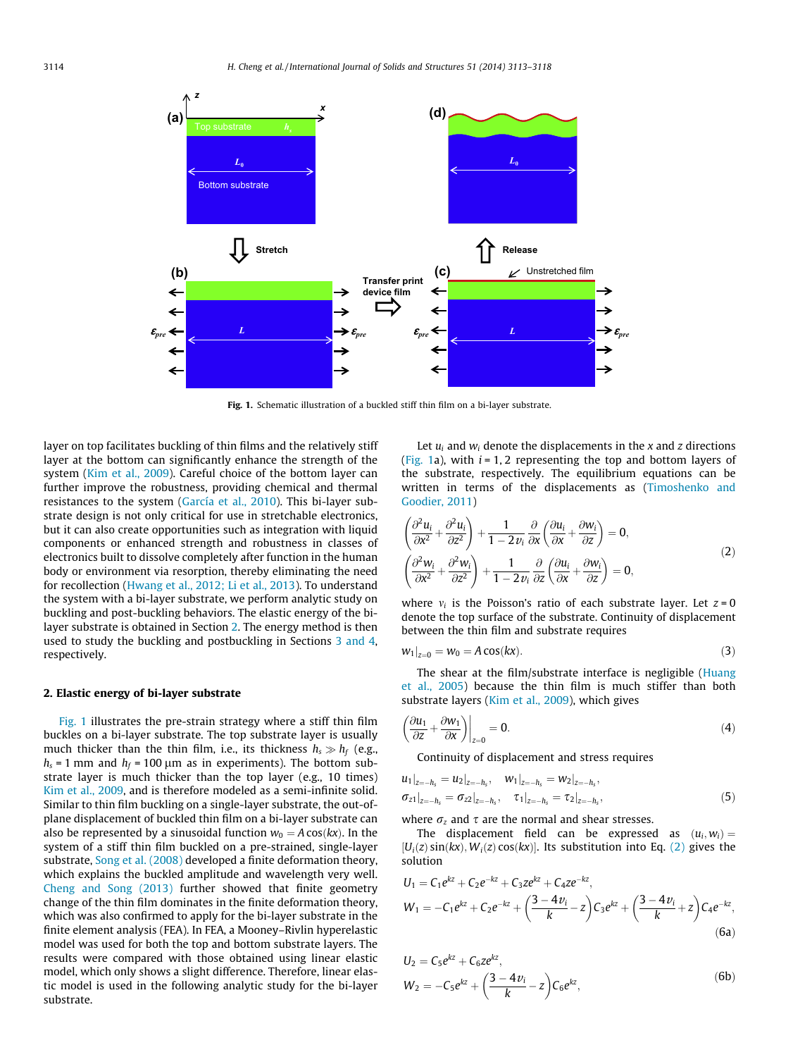<span id="page-1-0"></span>

Fig. 1. Schematic illustration of a buckled stiff thin film on a bi-layer substrate.

layer on top facilitates buckling of thin films and the relatively stiff layer at the bottom can significantly enhance the strength of the system ([Kim et al., 2009\)](#page-5-0). Careful choice of the bottom layer can further improve the robustness, providing chemical and thermal resistances to the system ([García et al., 2010](#page-4-0)). This bi-layer substrate design is not only critical for use in stretchable electronics, but it can also create opportunities such as integration with liquid components or enhanced strength and robustness in classes of electronics built to dissolve completely after function in the human body or environment via resorption, thereby eliminating the need for recollection [\(Hwang et al., 2012; Li et al., 2013\)](#page-5-0). To understand the system with a bi-layer substrate, we perform analytic study on buckling and post-buckling behaviors. The elastic energy of the bilayer substrate is obtained in Section 2. The energy method is then used to study the buckling and postbuckling in Sections [3 and 4,](#page-2-0) respectively.

# 2. Elastic energy of bi-layer substrate

Fig. 1 illustrates the pre-strain strategy where a stiff thin film buckles on a bi-layer substrate. The top substrate layer is usually much thicker than the thin film, i.e., its thickness  $h_s \gg h_f$  (e.g.,  $h_s$  = 1 mm and  $h_f$  = 100 µm as in experiments). The bottom substrate layer is much thicker than the top layer (e.g., 10 times) [Kim et al., 2009,](#page-5-0) and is therefore modeled as a semi-infinite solid. Similar to thin film buckling on a single-layer substrate, the out-ofplane displacement of buckled thin film on a bi-layer substrate can also be represented by a sinusoidal function  $w_0 = A \cos(kx)$ . In the system of a stiff thin film buckled on a pre-strained, single-layer substrate, [Song et al. \(2008\)](#page-5-0) developed a finite deformation theory, which explains the buckled amplitude and wavelength very well. [Cheng and Song \(2013\)](#page-4-0) further showed that finite geometry change of the thin film dominates in the finite deformation theory, which was also confirmed to apply for the bi-layer substrate in the finite element analysis (FEA). In FEA, a Mooney–Rivlin hyperelastic model was used for both the top and bottom substrate layers. The results were compared with those obtained using linear elastic model, which only shows a slight difference. Therefore, linear elastic model is used in the following analytic study for the bi-layer substrate.

Let  $u_i$  and  $w_i$  denote the displacements in the x and z directions (Fig. 1a), with  $i = 1, 2$  representing the top and bottom layers of the substrate, respectively. The equilibrium equations can be written in terms of the displacements as [\(Timoshenko and](#page-5-0) [Goodier, 2011](#page-5-0))

$$
\begin{aligned}\n\left(\frac{\partial^2 u_i}{\partial x^2} + \frac{\partial^2 u_i}{\partial z^2}\right) + \frac{1}{1 - 2v_i} \frac{\partial}{\partial x} \left(\frac{\partial u_i}{\partial x} + \frac{\partial w_i}{\partial z}\right) &= 0, \\
\left(\frac{\partial^2 w_i}{\partial x^2} + \frac{\partial^2 w_i}{\partial z^2}\right) + \frac{1}{1 - 2v_i} \frac{\partial}{\partial z} \left(\frac{\partial u_i}{\partial x} + \frac{\partial w_i}{\partial z}\right) &= 0,\n\end{aligned}
$$
\n(2)

where  $v_i$  is the Poisson's ratio of each substrate layer. Let  $z = 0$ denote the top surface of the substrate. Continuity of displacement between the thin film and substrate requires

$$
w_1|_{z=0} = w_0 = A\cos(kx). \tag{3}
$$

The shear at the film/substrate interface is negligible [\(Huang](#page-5-0) [et al., 2005](#page-5-0)) because the thin film is much stiffer than both substrate layers [\(Kim et al., 2009\)](#page-5-0), which gives

$$
\left. \left( \frac{\partial u_1}{\partial z} + \frac{\partial w_1}{\partial x} \right) \right|_{z=0} = 0. \tag{4}
$$

Continuity of displacement and stress requires

$$
u_1|_{z=-h_s} = u_2|_{z=-h_s}, \quad w_1|_{z=-h_s} = w_2|_{z=-h_s},
$$
  
\n
$$
\sigma_{z1}|_{z=-h_s} = \sigma_{z2}|_{z=-h_s}, \quad \tau_1|_{z=-h_s} = \tau_2|_{z=-h_s}, \quad (5)
$$

where  $\sigma_z$  and  $\tau$  are the normal and shear stresses.

The displacement field can be expressed as  $(u_i, w_i) =$  $[U_i(z)\sin(kx), W_i(z)\cos(kx)]$ . Its substitution into Eq. (2) gives the solution

$$
U_1 = C_1 e^{kz} + C_2 e^{-kz} + C_3 z e^{kz} + C_4 z e^{-kz},
$$
  
\n
$$
W_1 = -C_1 e^{kz} + C_2 e^{-kz} + \left(\frac{3-4\nu_i}{k} - z\right) C_3 e^{kz} + \left(\frac{3-4\nu_i}{k} + z\right) C_4 e^{-kz},
$$
  
\n(6a)

$$
U_2 = C_5 e^{kz} + C_6 z e^{kz},
$$
  
\n
$$
W_2 = -C_5 e^{kz} + \left(\frac{3 - 4\nu_i}{k} - z\right) C_6 e^{kz},
$$
\n(6b)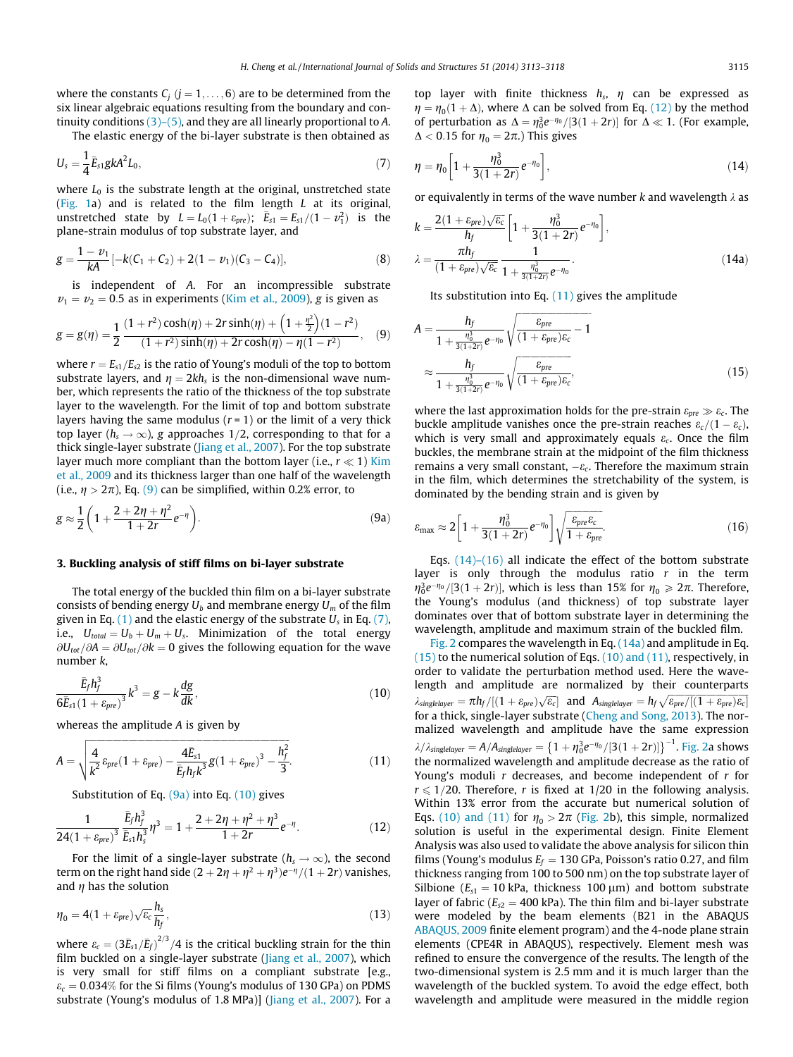<span id="page-2-0"></span>where the constants  $C_i$  ( $j = 1, \ldots, 6$ ) are to be determined from the six linear algebraic equations resulting from the boundary and continuity conditions  $(3)-(5)$ , and they are all linearly proportional to A.

The elastic energy of the bi-layer substrate is then obtained as

$$
U_s = \frac{1}{4} \bar{E}_{s1} g k A^2 L_0, \qquad (7)
$$

where  $L_0$  is the substrate length at the original, unstretched state ([Fig. 1a](#page-1-0)) and is related to the film length L at its original, unstretched state by  $L = L_0(1 + \varepsilon_{pre})$ ;  $\bar{E}_{s1} = E_{s1}/(1 - \nu_1^2)$  is the plane-strain modulus of top substrate layer, and

$$
g = \frac{1 - \nu_1}{kA} [-k(C_1 + C_2) + 2(1 - \nu_1)(C_3 - C_4)],
$$
\n(8)

is independent of A. For an incompressible substrate  $v_1 = v_2 = 0.5$  as in experiments ([Kim et al., 2009\)](#page-5-0), g is given as

$$
g = g(\eta) = \frac{1}{2} \frac{(1+r^2)\cosh(\eta) + 2r\sinh(\eta) + \left(1+\frac{\eta^2}{2}\right)(1-r^2)}{(1+r^2)\sinh(\eta) + 2r\cosh(\eta) - \eta(1-r^2)},
$$
 (9)

where  $r = E_{s1}/E_{s2}$  is the ratio of Young's moduli of the top to bottom substrate layers, and  $\eta = 2kh_s$  is the non-dimensional wave number, which represents the ratio of the thickness of the top substrate layer to the wavelength. For the limit of top and bottom substrate layers having the same modulus  $(r = 1)$  or the limit of a very thick top layer ( $h_s \rightarrow \infty$ ), g approaches 1/2, corresponding to that for a thick single-layer substrate ([Jiang et al., 2007\)](#page-5-0). For the top substrate layer much more compliant than the bottom layer (i.e.,  $r \ll 1$ ) [Kim](#page-5-0) [et al., 2009](#page-5-0) and its thickness larger than one half of the wavelength (i.e.,  $\eta > 2\pi$ ), Eq. (9) can be simplified, within 0.2% error, to

$$
g \approx \frac{1}{2} \left( 1 + \frac{2 + 2\eta + \eta^2}{1 + 2r} e^{-\eta} \right).
$$
 (9a)

#### 3. Buckling analysis of stiff films on bi-layer substrate

The total energy of the buckled thin film on a bi-layer substrate consists of bending energy  $U_b$  and membrane energy  $U_m$  of the film given in Eq. [\(1\)](#page-0-0) and the elastic energy of the substrate  $U_s$  in Eq. (7), i.e.,  $U_{total} = U_b + U_m + U_s$ . Minimization of the total energy  $\partial U_{\text{tot}}/\partial A = \partial U_{\text{tot}}/\partial k = 0$  gives the following equation for the wave number k,

$$
\frac{\bar{E}_f h_f^3}{6\bar{E}_{s1}(1+\varepsilon_{pre})^3} k^3 = g - k \frac{dg}{dk},
$$
\n(10)

whereas the amplitude A is given by

$$
A = \sqrt{\frac{4}{k^2} \varepsilon_{pre} (1 + \varepsilon_{pre}) - \frac{4 \bar{E}_{s1}}{\bar{E}_f h_f k^3} g (1 + \varepsilon_{pre})^3 - \frac{h_f^2}{3}}.
$$
 (11)

Substitution of Eq.  $(9a)$  into Eq.  $(10)$  gives

$$
\frac{1}{24(1+\varepsilon_{pre})^3}\frac{\bar{E}_f h_f^3}{\bar{E}_{s1} h_s^3}\eta^3=1+\frac{2+2\eta+\eta^2+\eta^3}{1+2r}e^{-\eta}.\tag{12}
$$

For the limit of a single-layer substrate ( $h_s \rightarrow \infty$ ), the second term on the right hand side  $(2 + 2\eta + \eta^2 + \eta^3)e^{-\eta}/(1 + 2r)$  vanishes, and  $\eta$  has the solution

$$
\eta_0 = 4(1 + \varepsilon_{pre})\sqrt{\varepsilon_c} \frac{h_s}{h_f},\tag{13}
$$

where  $\varepsilon_c = (3 \bar{E}_{s1}/\bar{E}_{f})^{2/3}/4$  is the critical buckling strain for the thin film buckled on a single-layer substrate [\(Jiang et al., 2007\)](#page-5-0), which is very small for stiff films on a compliant substrate [e.g.,  $\varepsilon_c = 0.034\%$  for the Si films (Young's modulus of 130 GPa) on PDMS substrate (Young's modulus of 1.8 MPa)] ([Jiang et al., 2007](#page-5-0)). For a top layer with finite thickness  $h_s$ ,  $\eta$  can be expressed as  $\eta = \eta_0(1 + \Delta)$ , where  $\Delta$  can be solved from Eq. (12) by the method of perturbation as  $\Delta = \eta_0^3 e^{-\eta_0}/[3(1+2r)]$  for  $\Delta \ll 1$ . (For example,  $\Delta$  < 0.15 for  $\eta_0 = 2\pi$ .) This gives

$$
\eta = \eta_0 \left[ 1 + \frac{\eta_0^3}{3(1+2r)} e^{-\eta_0} \right],\tag{14}
$$

or equivalently in terms of the wave number k and wavelength  $\lambda$  as

$$
k = \frac{2(1 + \varepsilon_{pre})\sqrt{\varepsilon_c}}{h_f} \left[1 + \frac{\eta_0^3}{3(1 + 2r)} e^{-\eta_0}\right],
$$
  

$$
\lambda = \frac{\pi h_f}{(1 + \varepsilon_{pre})\sqrt{\varepsilon_c}} \frac{1}{1 + \frac{\eta_0^3}{3(1 + 2r)} e^{-\eta_0}}.
$$
 (14a)

Its substitution into Eq.  $(11)$  gives the amplitude

$$
A = \frac{h_f}{1 + \frac{\eta_0^2}{3(1+2r)}e^{-\eta_0}} \sqrt{\frac{\varepsilon_{pre}}{(1 + \varepsilon_{pre})\varepsilon_c} - 1}
$$

$$
\approx \frac{h_f}{1 + \frac{\eta_0^2}{3(1+2r)}e^{-\eta_0}} \sqrt{\frac{\varepsilon_{pre}}{(1 + \varepsilon_{pre})\varepsilon_c}},
$$
(15)

where the last approximation holds for the pre-strain  $\varepsilon_{pre} \gg \varepsilon_c$ . The buckle amplitude vanishes once the pre-strain reaches  $\varepsilon_c/(1 - \varepsilon_c)$ , which is very small and approximately equals  $\varepsilon_c$ . Once the film buckles, the membrane strain at the midpoint of the film thickness remains a very small constant,  $-\varepsilon_c$ . Therefore the maximum strain in the film, which determines the stretchability of the system, is dominated by the bending strain and is given by

$$
\varepsilon_{\text{max}} \approx 2\left[1 + \frac{\eta_0^3}{3(1+2r)} e^{-\eta_0}\right] \sqrt{\frac{\varepsilon_{pre}\varepsilon_c}{1+\varepsilon_{pre}}}.\tag{16}
$$

Eqs.  $(14)$ – $(16)$  all indicate the effect of the bottom substrate layer is only through the modulus ratio  $r$  in the term  $\eta_0^3 e^{-\eta_0}/[3(1+2r)]$ , which is less than 15% for  $\eta_0 \geq 2\pi$ . Therefore, the Young's modulus (and thickness) of top substrate layer dominates over that of bottom substrate layer in determining the wavelength, amplitude and maximum strain of the buckled film.

[Fig. 2](#page-3-0) compares the wavelength in Eq.  $(14a)$  and amplitude in Eq.  $(15)$  to the numerical solution of Eqs.  $(10)$  and  $(11)$ , respectively, in order to validate the perturbation method used. Here the wavelength and amplitude are normalized by their counterparts  $\lambda_{\text{singlelayer}} = \pi h_f / [(1 + \varepsilon_{\text{pre}}) \sqrt{\varepsilon_c}]$  and  $A_{\text{singlelayer}} = h_f \sqrt{\varepsilon_{\text{pre}}/[(1 + \varepsilon_{\text{pre}}) \varepsilon_c]}$ for a thick, single-layer substrate [\(Cheng and Song, 2013](#page-4-0)). The normalized wavelength and amplitude have the same expression  $\lambda/\lambda_{singlelayer}=A/A_{singlelayer}=\left\{1+\eta_0^3e^{-\eta_0}/[3(1+2r)]\right\}^{-1}$ . [Fig. 2](#page-3-0)a shows the normalized wavelength and amplitude decrease as the ratio of Young's moduli  $r$  decreases, and become independent of  $r$  for  $r \leq 1/20$ . Therefore, r is fixed at 1/20 in the following analysis. Within 13% error from the accurate but numerical solution of Eqs. (10) and (11) for  $\eta_0 > 2\pi$  ([Fig. 2](#page-3-0)b), this simple, normalized solution is useful in the experimental design. Finite Element Analysis was also used to validate the above analysis for silicon thin films (Young's modulus  $E_f = 130$  GPa, Poisson's ratio 0.27, and film thickness ranging from 100 to 500 nm) on the top substrate layer of Silbione ( $E_{s1} = 10$  kPa, thickness 100 µm) and bottom substrate layer of fabric ( $E_{s2}$  = 400 kPa). The thin film and bi-layer substrate were modeled by the beam elements (B21 in the ABAQUS [ABAQUS, 2009](#page-4-0) finite element program) and the 4-node plane strain elements (CPE4R in ABAQUS), respectively. Element mesh was refined to ensure the convergence of the results. The length of the two-dimensional system is 2.5 mm and it is much larger than the wavelength of the buckled system. To avoid the edge effect, both wavelength and amplitude were measured in the middle region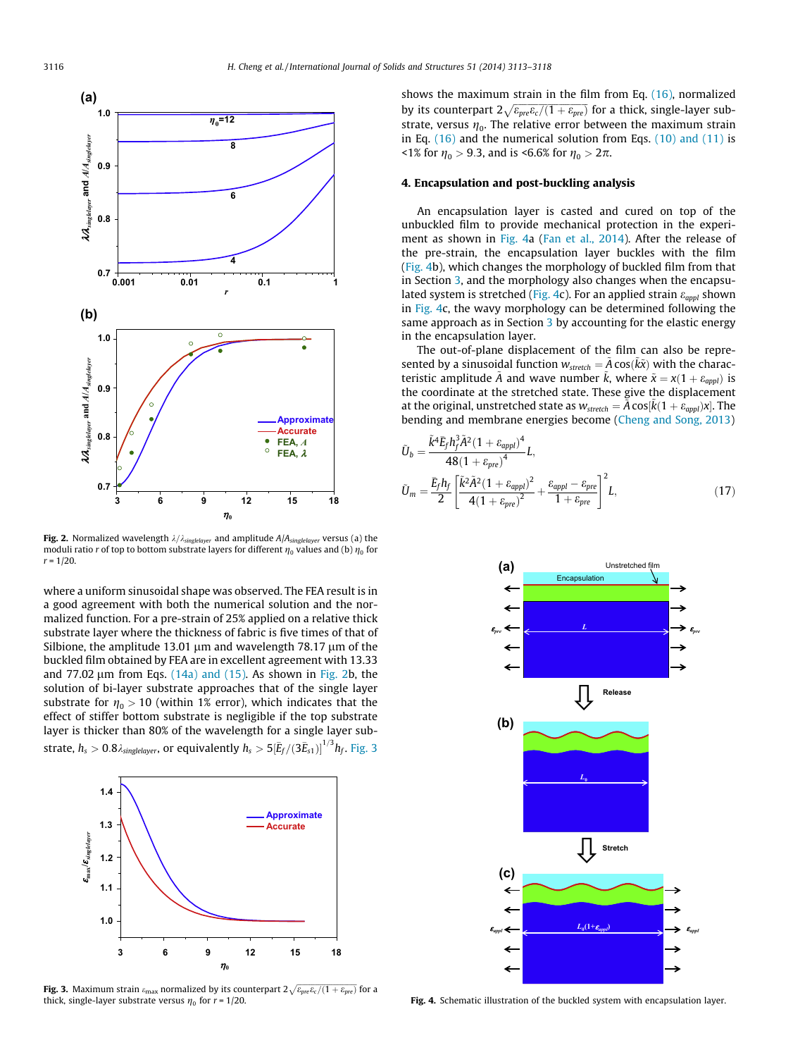<span id="page-3-0"></span>

**Fig. 2.** Normalized wavelength  $\lambda/\lambda_{singlelayer}$  and amplitude  $A/A_{singlelayer}$  versus (a) the moduli ratio r of top to bottom substrate layers for different  $\eta_0$  values and (b)  $\eta_0$  for  $r = 1/20$ .

where a uniform sinusoidal shape was observed. The FEA result is in a good agreement with both the numerical solution and the normalized function. For a pre-strain of 25% applied on a relative thick substrate layer where the thickness of fabric is five times of that of Silbione, the amplitude 13.01  $\mu$ m and wavelength 78.17  $\mu$ m of the buckled film obtained by FEA are in excellent agreement with 13.33 and 77.02  $\mu$ m from Eqs. [\(14a\) and \(15\)](#page-2-0). As shown in Fig. 2b, the solution of bi-layer substrate approaches that of the single layer substrate for  $\eta_0 > 10$  (within 1% error), which indicates that the effect of stiffer bottom substrate is negligible if the top substrate layer is thicker than 80% of the wavelength for a single layer substrate,  $h_s > 0.8$   $\lambda_{singlelayer}$ , or equivalently  $h_s > 5 {[\bar{E}_f/(3\bar{E}_{s1})]}^{1/3} h_f$ . Fig. 3



**Fig. 3.** Maximum strain  $\varepsilon_{\rm max}$  normalized by its counterpart  $2\sqrt{\varepsilon_{pre}\varepsilon_{c}/(1+\varepsilon_{pre})}$  for a thick, single-layer substrate versus  $\eta_0$  for  $r = 1/20$ .

shows the maximum strain in the film from Eq. [\(16\)](#page-2-0), normalized by its counterpart  $2\sqrt{\varepsilon_{pre}\varepsilon_{c}/(1+\varepsilon_{pre})}$  for a thick, single-layer substrate, versus  $\eta_0$ . The relative error between the maximum strain in Eq. [\(16\)](#page-2-0) and the numerical solution from Eqs. [\(10\) and \(11\)](#page-2-0) is  $1\%$  for  $\eta_0 > 9.3$ , and is <6.6% for  $\eta_0 > 2\pi$ .

#### 4. Encapsulation and post-buckling analysis

An encapsulation layer is casted and cured on top of the unbuckled film to provide mechanical protection in the experiment as shown in Fig. 4a [\(Fan et al., 2014\)](#page-4-0). After the release of the pre-strain, the encapsulation layer buckles with the film (Fig. 4b), which changes the morphology of buckled film from that in Section [3](#page-2-0), and the morphology also changes when the encapsulated system is stretched (Fig. 4c). For an applied strain  $\varepsilon_{\alpha \nu \nu l}$  shown in Fig. 4c, the wavy morphology can be determined following the same approach as in Section [3](#page-2-0) by accounting for the elastic energy in the encapsulation layer.

The out-of-plane displacement of the film can also be represented by a sinusoidal function  $w_{stretch} = \tilde{A} \cos(\tilde{k}\tilde{x})$  with the characteristic amplitude  $\tilde{A}$  and wave number  $\tilde{k}$ , where  $\tilde{x} = x(1 + \varepsilon_{appl})$  is the coordinate at the stretched state. These give the displacement at the original, unstretched state as  $w_{stretch} = \tilde{A} \cos[\tilde{k}(1 + \varepsilon_{appl})x]$ . The bending and membrane energies become ([Cheng and Song, 2013](#page-4-0))

$$
\tilde{U}_b = \frac{\tilde{k}^4 \bar{E}_f h_f^3 \tilde{A}^2 (1 + \varepsilon_{appl})^4}{48 (1 + \varepsilon_{pre})^4} L,
$$
\n
$$
\tilde{U}_m = \frac{\bar{E}_f h_f}{2} \left[ \frac{\tilde{k}^2 \tilde{A}^2 (1 + \varepsilon_{appl})^2}{4 (1 + \varepsilon_{pre})^2} + \frac{\varepsilon_{appl} - \varepsilon_{pre}}{1 + \varepsilon_{pre}} \right]^2 L,
$$
\n(17)



Fig. 4. Schematic illustration of the buckled system with encapsulation layer.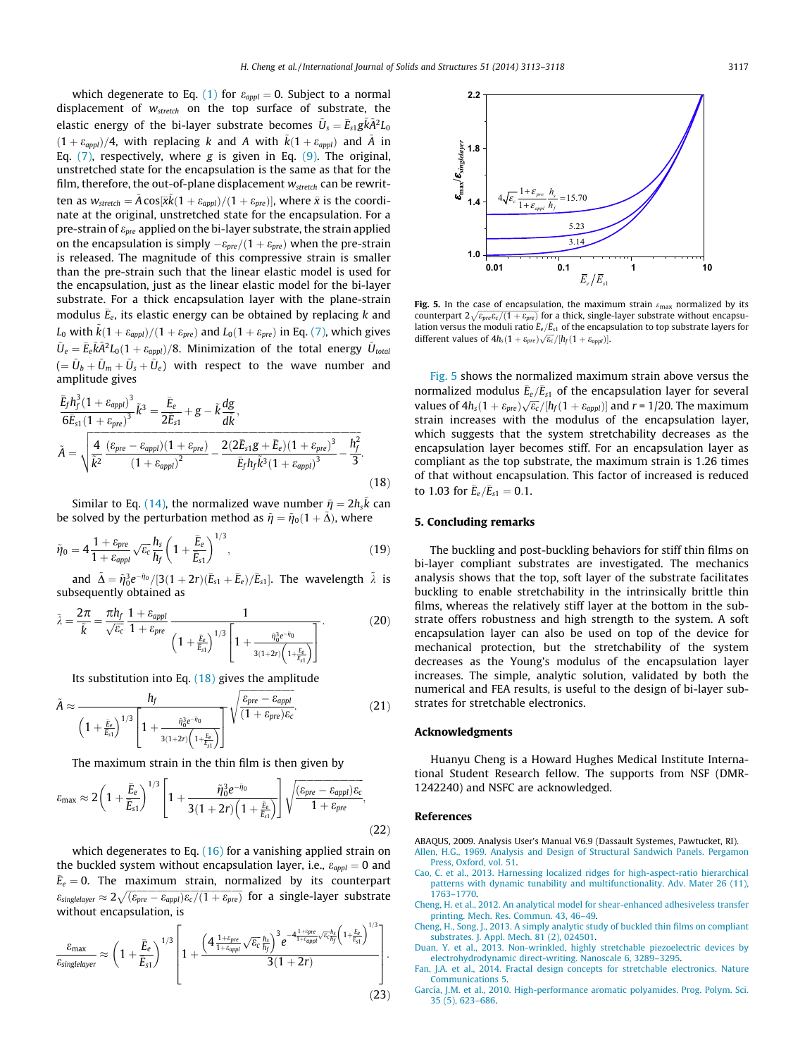<span id="page-4-0"></span>which degenerate to Eq. [\(1\)](#page-0-0) for  $\varepsilon_{appl} = 0$ . Subject to a normal displacement of  $W_{stretch}$  on the top surface of substrate, the elastic energy of the bi-layer substrate becomes  $\tilde{U}_s = \bar{E}_{s1} g \tilde{k} \tilde{A}^2 L_0$  $(1 + \varepsilon_{\alpha ppl})/4$ , with replacing k and A with  $\tilde{k}(1 + \varepsilon_{\alpha ppl})$  and  $\tilde{A}$  in Eq.  $(7)$ , respectively, where g is given in Eq.  $(9)$ . The original, unstretched state for the encapsulation is the same as that for the film, therefore, the out-of-plane displacement  $w_{stretch}$  can be rewritten as  $w_{\text{stretch}} = \tilde{A} \cos[\bar{x} \tilde{k} (1 + \varepsilon_{\text{appl}})/(1 + \varepsilon_{\text{pre}})],$  where  $\bar{x}$  is the coordinate at the original, unstretched state for the encapsulation. For a pre-strain of  $\varepsilon_{pre}$  applied on the bi-layer substrate, the strain applied on the encapsulation is simply  $-\varepsilon_{pre}/(1+\varepsilon_{pre})$  when the pre-strain is released. The magnitude of this compressive strain is smaller than the pre-strain such that the linear elastic model is used for the encapsulation, just as the linear elastic model for the bi-layer substrate. For a thick encapsulation layer with the plane-strain modulus  $\bar{E}_e$ , its elastic energy can be obtained by replacing  $k$  and  $L_0$  with  $\tilde{k} (1+\varepsilon_{appl})/(1+\varepsilon_{pre})$  and  $L_0(1+\varepsilon_{pre})$  in Eq. [\(7\),](#page-2-0) which gives  $\tilde{U}_e=\bar{E}_e\tilde{k}\tilde{A}^2L_0(1+\varepsilon_{appl})/8$ . Minimization of the total energy  $\tilde{U}_{total}$  $( = \tilde{U}_b + \tilde{U}_m + \tilde{U}_s + \tilde{U}_e)$  with respect to the wave number and amplitude gives

$$
\frac{\bar{E}_f h_f^3 (1 + \varepsilon_{appl})^3}{6 \bar{E}_{s1} (1 + \varepsilon_{pre})^3} \tilde{k}^3 = \frac{\bar{E}_e}{2 \bar{E}_{s1}} + g - \tilde{k} \frac{dg}{d\bar{k}},
$$
\n
$$
\tilde{A} = \sqrt{\frac{4}{\tilde{k}^2} \frac{(\varepsilon_{pre} - \varepsilon_{appl})(1 + \varepsilon_{pre})}{(1 + \varepsilon_{appl})^2} - \frac{2(2\bar{E}_{s1}g + \bar{E}_e)(1 + \varepsilon_{pre})^3}{\bar{E}_f h_f \tilde{k}^3 (1 + \varepsilon_{appl})^3} - \frac{h_f^2}{3}}.
$$
\n(18)

Similar to Eq. [\(14\)](#page-2-0), the normalized wave number  $\tilde{\eta} = 2 h_s \tilde{k}$  can be solved by the perturbation method as  $\tilde{\eta} = \tilde{\eta}_0(1 + \tilde{\Delta})$ , where

$$
\tilde{\eta}_0 = 4 \frac{1 + \varepsilon_{pre}}{1 + \varepsilon_{appl}} \sqrt{\varepsilon_c} \frac{h_s}{h_f} \left( 1 + \frac{\bar{E}_e}{\bar{E}_{s1}} \right)^{1/3},\tag{19}
$$

and  $\tilde{\Delta} = \tilde{\eta}_0^3 e^{-\tilde{\eta}_0}/[3(1+2r)(\bar{E}_{s1}+\bar{E}_e)/\bar{E}_{s1}]$ . The wavelength  $\tilde{\lambda}$  is subsequently obtained as

$$
\tilde{\lambda} = \frac{2\pi}{\tilde{k}} = \frac{\pi h_f}{\sqrt{\varepsilon_c}} \frac{1 + \varepsilon_{appl}}{1 + \varepsilon_{pre}} \frac{1}{\left(1 + \frac{\bar{E}_e}{E_{s1}}\right)^{1/3} \left[1 + \frac{\tilde{\eta}_0^3 e^{-\tilde{\eta}_0}}{3(1+2r)\left(1 + \frac{\bar{E}_e}{E_{s1}}\right)}\right]}.
$$
(20)

Its substitution into Eq.  $(18)$  gives the amplitude

$$
\tilde{A} \approx \frac{h_f}{\left(1 + \frac{\tilde{E}_e}{E_{s1}}\right)^{1/3} \left[1 + \frac{\tilde{\eta}_0^3 e^{-\tilde{\eta}_0}}{3(1 + 2r)\left(1 + \frac{\tilde{E}_e}{\tilde{E}_{s1}}\right)}\right]} \sqrt{\frac{\varepsilon_{pre} - \varepsilon_{appl}}{(1 + \varepsilon_{pre})\varepsilon_c}}.
$$
\n(21)

The maximum strain in the thin film is then given by

$$
\varepsilon_{\text{max}} \approx 2\left(1 + \frac{\bar{E}_e}{\bar{E}_{s1}}\right)^{1/3} \left[1 + \frac{\tilde{\eta}_0^3 e^{-\tilde{\eta}_0}}{3(1+2r)\left(1 + \frac{\bar{E}_e}{\bar{E}_{s1}}\right)}\right] \sqrt{\frac{(\varepsilon_{\text{pre}} - \varepsilon_{\text{appl}})\varepsilon_c}{1 + \varepsilon_{\text{pre}}}},\tag{22}
$$

which degenerates to Eq. [\(16\)](#page-2-0) for a vanishing applied strain on the buckled system without encapsulation layer, i.e.,  $\varepsilon_{appl} = 0$  and  $\bar{E}_e = 0$ . The maximum strain, normalized by its counterpart  $\epsilon_{singlelayer} \approx 2\sqrt{(\epsilon_{pre}-\epsilon_{appl})\epsilon_c/(1+\epsilon_{pre})}$  for a single-layer substrate without encapsulation, is

$$
\frac{\varepsilon_{\max}}{\varepsilon_{singlelayer}} \approx \left(1 + \frac{\bar{E}_e}{\bar{E}_{s1}}\right)^{1/3} \left[1 + \frac{\left(4\frac{1+\varepsilon_{pre}}{1+\varepsilon_{appl}}\sqrt{\varepsilon_c}\frac{h_s}{h_f}\right)^3 e^{-4\frac{1+\varepsilon_{pre}}{1+\varepsilon_{appl}}\sqrt{\varepsilon_c}\frac{h_s}{h_f}\left(1 + \frac{\bar{E}_e}{\bar{E}_{s1}}\right)^{1/3}}}{3(1+2r)}\right].
$$
\n(23)



Fig. 5. In the case of encapsulation, the maximum strain  $\varepsilon_{\text{max}}$  normalized by its counterpart  $2\sqrt{\varepsilon_{pre}\varepsilon_{c}/(1+\varepsilon_{pre})}$  for a thick, single-layer substrate without encapsulation versus the moduli ratio  $\bar{E}_e/\bar{E}_{s1}$  of the encapsulation to top substrate layers for different values of  $4h_s(1 + \varepsilon_{pre})\sqrt{\varepsilon_c}/[h_f(1 + \varepsilon_{appl})]$ .

Fig. 5 shows the normalized maximum strain above versus the normalized modulus  $\bar{E}_e/\bar{E}_{s1}$  of the encapsulation layer for several values of  $4h_s(1 + \varepsilon_{pre})\sqrt{\varepsilon_c}/[h_f(1 + \varepsilon_{app1})]$  and  $r = 1/20$ . The maximum strain increases with the modulus of the encapsulation layer, which suggests that the system stretchability decreases as the encapsulation layer becomes stiff. For an encapsulation layer as compliant as the top substrate, the maximum strain is 1.26 times of that without encapsulation. This factor of increased is reduced to 1.03 for  $\bar{E}_e/\bar{E}_{s1} = 0.1$ .

# 5. Concluding remarks

The buckling and post-buckling behaviors for stiff thin films on bi-layer compliant substrates are investigated. The mechanics analysis shows that the top, soft layer of the substrate facilitates buckling to enable stretchability in the intrinsically brittle thin films, whereas the relatively stiff layer at the bottom in the substrate offers robustness and high strength to the system. A soft encapsulation layer can also be used on top of the device for mechanical protection, but the stretchability of the system decreases as the Young's modulus of the encapsulation layer increases. The simple, analytic solution, validated by both the numerical and FEA results, is useful to the design of bi-layer substrates for stretchable electronics.

# Acknowledgments

Huanyu Cheng is a Howard Hughes Medical Institute International Student Research fellow. The supports from NSF (DMR-1242240) and NSFC are acknowledged.

# References

ABAQUS, 2009. Analysis User's Manual V6.9 (Dassault Systemes, Pawtucket, RI). [Allen, H.G., 1969. Analysis and Design of Structural Sandwich Panels. Pergamon](http://refhub.elsevier.com/S0020-7683(14)00198-X/h0010) [Press, Oxford, vol. 51.](http://refhub.elsevier.com/S0020-7683(14)00198-X/h0010)

- [Cao, C. et al., 2013. Harnessing localized ridges for high-aspect-ratio hierarchical](http://refhub.elsevier.com/S0020-7683(14)00198-X/h0155) [patterns with dynamic tunability and multifunctionality. Adv. Mater 26 \(11\),](http://refhub.elsevier.com/S0020-7683(14)00198-X/h0155) [1763–1770.](http://refhub.elsevier.com/S0020-7683(14)00198-X/h0155)
- [Cheng, H. et al., 2012. An analytical model for shear-enhanced adhesiveless transfer](http://refhub.elsevier.com/S0020-7683(14)00198-X/h0020) [printing. Mech. Res. Commun. 43, 46–49.](http://refhub.elsevier.com/S0020-7683(14)00198-X/h0020)
- [Cheng, H., Song, J., 2013. A simply analytic study of buckled thin films on compliant](http://refhub.elsevier.com/S0020-7683(14)00198-X/h0025) [substrates. J. Appl. Mech. 81 \(2\), 024501.](http://refhub.elsevier.com/S0020-7683(14)00198-X/h0025)
- [Duan, Y. et al., 2013. Non-wrinkled, highly stretchable piezoelectric devices by](http://refhub.elsevier.com/S0020-7683(14)00198-X/h0160) [electrohydrodynamic direct-writing. Nanoscale 6, 3289–3295.](http://refhub.elsevier.com/S0020-7683(14)00198-X/h0160)
- [Fan, J.A. et al., 2014. Fractal design concepts for stretchable electronics. Nature](http://refhub.elsevier.com/S0020-7683(14)00198-X/h0035) [Communications 5.](http://refhub.elsevier.com/S0020-7683(14)00198-X/h0035)
- [García, J.M. et al., 2010. High-performance aromatic polyamides. Prog. Polym. Sci.](http://refhub.elsevier.com/S0020-7683(14)00198-X/h0040) [35 \(5\), 623–686](http://refhub.elsevier.com/S0020-7683(14)00198-X/h0040).